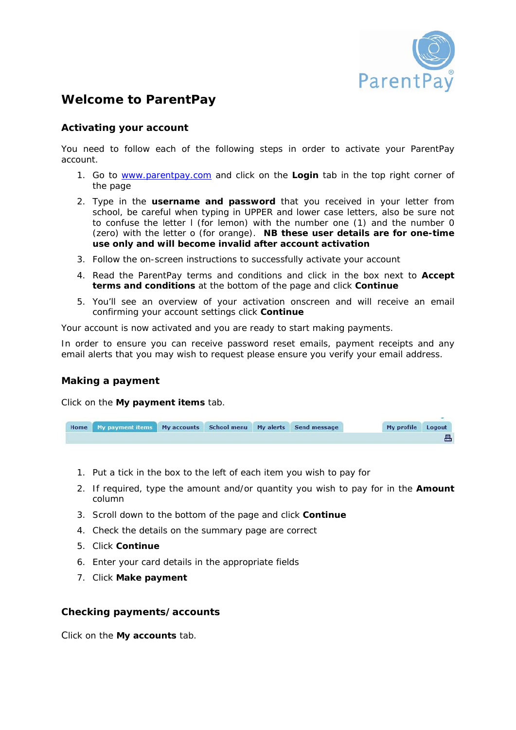

# **Welcome to ParentPay**

# **Activating your account**

You need to follow each of the following steps in order to activate your ParentPay account.

- 1. Go to www.parentpay.com and click on the **Login** tab in the top right corner of the page
- 2. Type in the **username and password** that you received in your letter from school, be careful when typing in UPPER and lower case letters, also be sure not to confuse the letter l (for lemon) with the number one (1) and the number 0 (zero) with the letter o (for orange). **NB these user details are for one-time use only and will become invalid after account activation**
- 3. Follow the on-screen instructions to successfully activate your account
- 4. Read the ParentPay terms and conditions and click in the box next to **Accept terms and conditions** at the bottom of the page and click **Continue**
- 5. You'll see an overview of your activation onscreen and will receive an email confirming your account settings click **Continue**

Your account is now activated and you are ready to start making payments.

In order to ensure you can receive password reset emails, payment receipts and any email alerts that you may wish to request please ensure you verify your email address.

# **Making a payment**

Click on the **My payment items** tab.

| Home My payment items My accounts School menu My alerts Send message |  |  | My profile Logout |  |
|----------------------------------------------------------------------|--|--|-------------------|--|
|                                                                      |  |  |                   |  |

- 1. Put a tick in the box to the left of each item you wish to pay for
- 2. If required, type the amount and/or quantity you wish to pay for in the **Amount** column
- 3. Scroll down to the bottom of the page and click **Continue**
- 4. Check the details on the summary page are correct
- 5. Click **Continue**
- 6. Enter your card details in the appropriate fields
- 7. Click **Make payment**

# **Checking payments/accounts**

Click on the **My accounts** tab.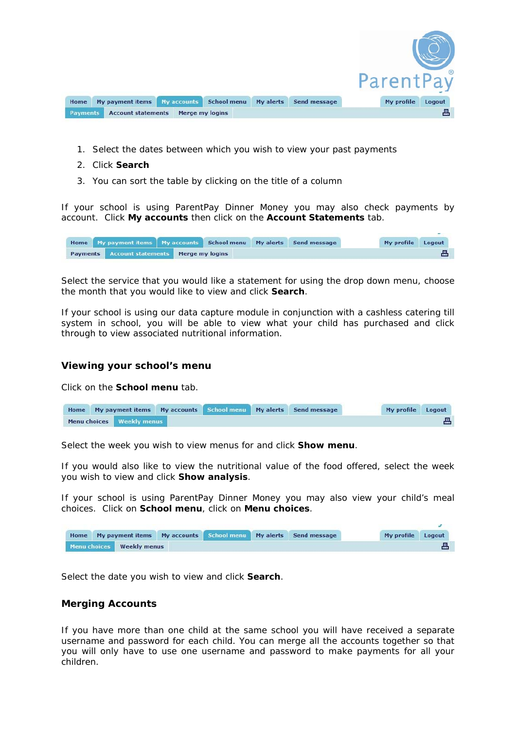

- 1. Select the dates between which you wish to view your past payments
- 2. Click **Search**
- 3. You can sort the table by clicking on the title of a column

If your school is using ParentPay Dinner Money you may also check payments by account. Click **My accounts** then click on the **Account Statements** tab.

|          | Home My payment items   My accounts   School menu   My alerts   Send message |  |  | My profile Logout |  |
|----------|------------------------------------------------------------------------------|--|--|-------------------|--|
| Payments | <b>Account statements Merge my logins</b>                                    |  |  |                   |  |

Select the service that you would like a statement for using the drop down menu, choose the month that you would like to view and click **Search**.

If your school is using our data capture module in conjunction with a cashless catering till system in school, you will be able to view what your child has purchased and click through to view associated nutritional information.

# **Viewing your school's menu**

Click on the **School menu** tab.

| <b>Home</b> |                             |  | My payment items My accounts School menu My alerts Send message | My profile Logout |  |
|-------------|-----------------------------|--|-----------------------------------------------------------------|-------------------|--|
|             | Menu choices   Weekly menus |  |                                                                 |                   |  |

Select the week you wish to view menus for and click **Show menu**.

If you would also like to view the nutritional value of the food offered, select the week you wish to view and click **Show analysis**.

If your school is using ParentPay Dinner Money you may also view your child's meal choices. Click on **School menu**, click on **Menu choices**.

|  |                           |  | Home My payment items My accounts School menu My alerts Send message | My profile Logout |  |
|--|---------------------------|--|----------------------------------------------------------------------|-------------------|--|
|  | Menu choices Weekly menus |  |                                                                      |                   |  |

Select the date you wish to view and click **Search**.

# **Merging Accounts**

If you have more than one child at the same school you will have received a separate username and password for each child. You can merge all the accounts together so that you will only have to use one username and password to make payments for all your children.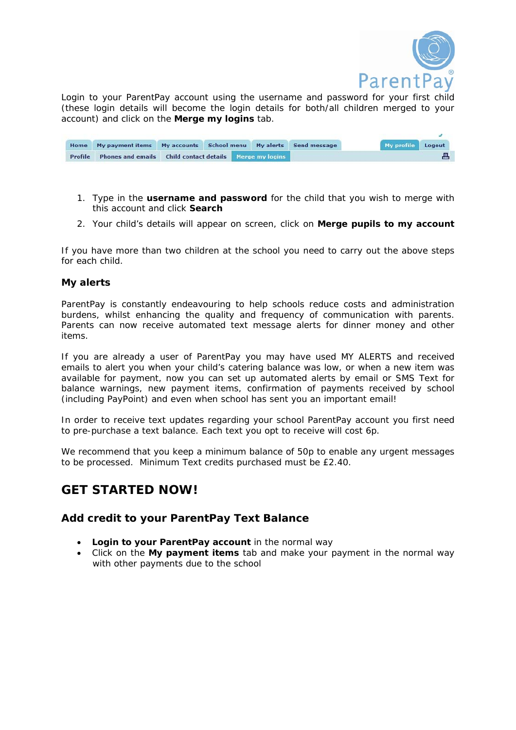

Login to your ParentPay account using the username and password for your first child (these login details will become the login details for both/all children merged to your account) and click on the **Merge my logins** tab.

|         | Home My payment items My accounts School menu My alerts Send message |  |  |  | My profile Logout |  |
|---------|----------------------------------------------------------------------|--|--|--|-------------------|--|
| Profile | Phones and emails Child contact details Merge my logins              |  |  |  |                   |  |

- 1. Type in the **username and password** for the child that you wish to merge with this account and click **Search**
- 2. Your child's details will appear on screen, click on **Merge pupils to my account**

If you have more than two children at the school you need to carry out the above steps for each child.

# **My alerts**

ParentPay is constantly endeavouring to help schools reduce costs and administration burdens, whilst enhancing the quality and frequency of communication with parents. Parents can now receive automated text message alerts for dinner money and other items.

If you are already a user of ParentPay you may have used MY ALERTS and received emails to alert you when your child's catering balance was low, or when a new item was available for payment, now you can set up automated alerts by email or SMS Text for balance warnings, new payment items, confirmation of payments received by school (including PayPoint) and even when school has sent you an important email!

In order to receive text updates regarding your school ParentPay account you first need to pre-purchase a text balance. Each text you opt to receive will cost 6p.

We recommend that you keep a minimum balance of 50p to enable any urgent messages to be processed. Minimum Text credits purchased must be £2.40.

# **GET STARTED NOW!**

# **Add credit to your ParentPay Text Balance**

- **Login to your ParentPay account** in the normal way
- Click on the **My payment items** tab and make your payment in the normal way with other payments due to the school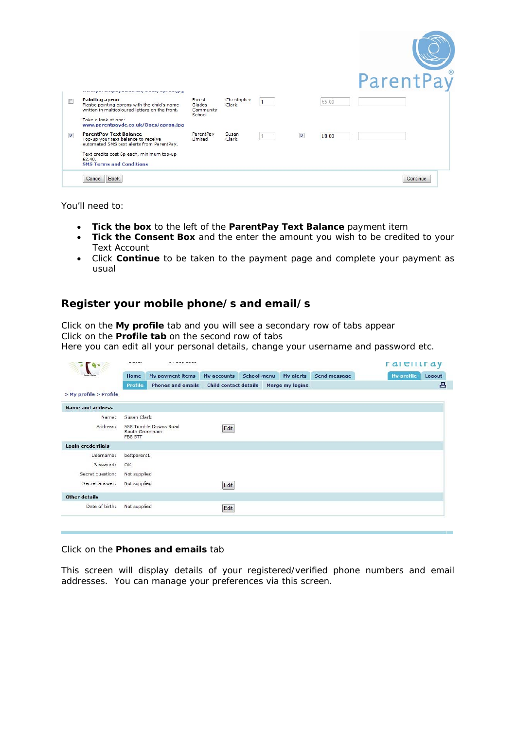|            |                                                                                                                          |                                         |                      |                |   |       | ParentPay |
|------------|--------------------------------------------------------------------------------------------------------------------------|-----------------------------------------|----------------------|----------------|---|-------|-----------|
|            |                                                                                                                          |                                         |                      |                |   |       |           |
| 同          | <b>Painting apron</b><br>Plastic painting aprons with the child's name<br>written in multicoloured letters on the front. | Forest<br>Glades<br>Community<br>School | Christopher<br>Clark | $\overline{1}$ |   | £5.00 |           |
|            | Take a look at one:<br>www.parentpaydc.co.uk/Docs/apron.jpg                                                              |                                         |                      |                |   |       |           |
| $\sqrt{2}$ | <b>ParentPay Text Balance</b><br>Top-up your text balance to receive<br>automated SMS text alerts from ParentPay.        | ParentPay<br>Limited                    | Susan<br>Clark       |                | V | £0.00 |           |
|            | Text credits cost 6p each, minimum top-up<br>£2,40,<br><b>SMS Terms and Conditions</b>                                   |                                         |                      |                |   |       |           |
|            | <b>Back</b><br>Cancel                                                                                                    |                                         |                      |                |   |       | Continue  |

You'll need to:

- **Tick the box** to the left of the **ParentPay Text Balance** payment item
- **Tick the Consent Box** and the enter the amount you wish to be credited to your Text Account
- Click **Continue** to be taken to the payment page and complete your payment as usual

# **Register your mobile phone/s and email/s**

Click on the **My profile** tab and you will see a secondary row of tabs appear Click on the **Profile tab** on the second row of tabs Here you can edit all your personal details, change your username and password etc.

|                          |                           |                                         |                                      | ralelltray |                 |                      |   |
|--------------------------|---------------------------|-----------------------------------------|--------------------------------------|------------|-----------------|----------------------|---|
|                          | My payment items<br>Home  |                                         | My accounts School menu<br>My alerts |            | Send message    | My profile<br>Logout |   |
|                          | <b>Profile</b>            | Phones and emails Child contact details |                                      |            | Merge my logins |                      | 昌 |
| > My profile > Profile   |                           |                                         |                                      |            |                 |                      |   |
| <b>Name and address</b>  |                           |                                         |                                      |            |                 |                      |   |
| Name:                    | Susan Clark               |                                         |                                      |            |                 |                      |   |
| Address:                 | South Greenham<br>FB8 5TT | 558 Tumble Downs Road                   | Edit                                 |            |                 |                      |   |
| <b>Login credentials</b> |                           |                                         |                                      |            |                 |                      |   |
| Username:                | bettparent1               |                                         |                                      |            |                 |                      |   |
| Password:                | OK                        |                                         |                                      |            |                 |                      |   |
| Secret question:         | Not supplied              |                                         |                                      |            |                 |                      |   |
| Secret answer:           | Not supplied              |                                         | Edit                                 |            |                 |                      |   |
| <b>Other details</b>     |                           |                                         |                                      |            |                 |                      |   |
| Date of birth:           | Not supplied              |                                         | Edit                                 |            |                 |                      |   |
|                          |                           |                                         |                                      |            |                 |                      |   |

# Click on the **Phones and emails** tab

This screen will display details of your registered/verified phone numbers and email addresses. You can manage your preferences via this screen.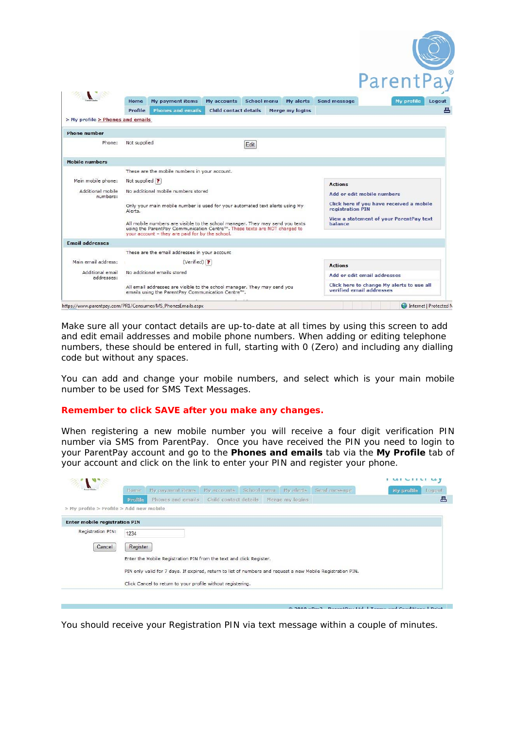|                                  |                             |                                                                                                                               |                              |                                                           |                                          |                | ParentPay                                                             |
|----------------------------------|-----------------------------|-------------------------------------------------------------------------------------------------------------------------------|------------------------------|-----------------------------------------------------------|------------------------------------------|----------------|-----------------------------------------------------------------------|
|                                  | Home                        | <b>My payment items</b>                                                                                                       | My accounts                  | <b>School menu</b>                                        | My alerts                                | Send message   | <b>My profile</b><br>Logout                                           |
|                                  | Profile                     | <b>Phones and emails</b>                                                                                                      | <b>Child contact details</b> |                                                           | Merge my logins                          |                |                                                                       |
| > My profile > Phones and emails |                             |                                                                                                                               |                              |                                                           |                                          |                |                                                                       |
| <b>Phone number</b>              |                             |                                                                                                                               |                              |                                                           |                                          |                |                                                                       |
| Phone:                           | Not supplied                |                                                                                                                               |                              | Edit                                                      |                                          |                |                                                                       |
|                                  |                             |                                                                                                                               |                              |                                                           |                                          |                |                                                                       |
| <b>Mobile numbers</b>            |                             |                                                                                                                               |                              |                                                           |                                          |                |                                                                       |
|                                  |                             | These are the mobile numbers in your account.                                                                                 |                              |                                                           |                                          |                |                                                                       |
| Main mobile phone:               | Not supplied ?              |                                                                                                                               |                              |                                                           |                                          | <b>Actions</b> |                                                                       |
| Additional mobile<br>numbers:    |                             | No additional mobile numbers stored                                                                                           |                              |                                                           | Add or edit mobile numbers               |                |                                                                       |
|                                  | Alerts.                     | Only your main mobile number is used for your automated text alerts using My                                                  |                              | registration PIN                                          | Click here if you have received a mobile |                |                                                                       |
|                                  |                             | All mobile numbers are visible to the school manager. They may send you texts                                                 |                              | View a statement of your ParentPay text<br><b>halance</b> |                                          |                |                                                                       |
|                                  |                             | using the ParentPay Communication Centre™. These texts are NOT charged to<br>your account - they are paid for by the school.  |                              |                                                           |                                          |                |                                                                       |
| <b>Email addresses</b>           |                             |                                                                                                                               |                              |                                                           |                                          |                |                                                                       |
|                                  |                             | These are the email addresses in your account                                                                                 |                              |                                                           |                                          |                |                                                                       |
| Main email address:              |                             | $(Verified)$ ?                                                                                                                |                              |                                                           |                                          | <b>Actions</b> |                                                                       |
| Additional email<br>addresses:   | No additional emails stored |                                                                                                                               |                              |                                                           |                                          |                | Add or edit email addresses                                           |
|                                  |                             | All email addresses are visible to the school manager. They may send you<br>emails using the ParentPay Communication Centre™. |                              |                                                           |                                          |                | Click here to change My alerts to use all<br>verified email addresses |
|                                  |                             |                                                                                                                               |                              |                                                           |                                          |                |                                                                       |

Make sure all your contact details are up-to-date at all times by using this screen to add and edit email addresses and mobile phone numbers. When adding or editing telephone numbers, these should be entered in full, starting with 0 (Zero) and including any dialling code but without any spaces.

You can add and change your mobile numbers, and select which is your main mobile number to be used for SMS Text Messages.

#### **Remember to click SAVE after you make any changes.**

When registering a new mobile number you will receive a four digit verification PIN number via SMS from ParentPay. Once you have received the PIN you need to login to your ParentPay account and go to the **Phones and emails** tab via the **My Profile** tab of your account and click on the link to enter your PIN and register your phone.

| <b>Execut Citade</b>                    | Home                                                                | My payment items                                                                                            | My accounts                                                 | School menu | My alerts       | Send message | <b>Ply profile</b><br>Logout |  |  |  |
|-----------------------------------------|---------------------------------------------------------------------|-------------------------------------------------------------------------------------------------------------|-------------------------------------------------------------|-------------|-----------------|--------------|------------------------------|--|--|--|
|                                         | Profile                                                             | Phones and emails                                                                                           | Child contact details                                       |             | Merge my logins |              | 昌                            |  |  |  |
| > My profile > Profile > Add new mobile |                                                                     |                                                                                                             |                                                             |             |                 |              |                              |  |  |  |
| <b>Enter mobile registration PIN</b>    |                                                                     |                                                                                                             |                                                             |             |                 |              |                              |  |  |  |
| Registration PIN:                       | 1234                                                                |                                                                                                             |                                                             |             |                 |              |                              |  |  |  |
| Cancel                                  | Register                                                            |                                                                                                             |                                                             |             |                 |              |                              |  |  |  |
|                                         | Enter the Mobile Registration PIN from the text and click Register. |                                                                                                             |                                                             |             |                 |              |                              |  |  |  |
|                                         |                                                                     |                                                                                                             |                                                             |             |                 |              |                              |  |  |  |
|                                         |                                                                     | PIN only valid for 7 days. If expired, return to list of numbers and request a new Mobile Registration PIN. |                                                             |             |                 |              |                              |  |  |  |
|                                         |                                                                     |                                                                                                             | Click Cancel to return to your profile without registering. |             |                 |              |                              |  |  |  |

You should receive your Registration PIN via text message within a couple of minutes.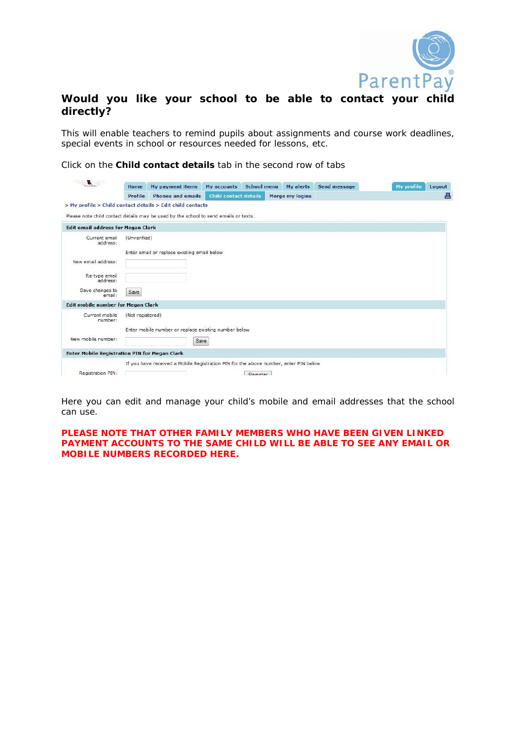

# **Would you like your school to be able to contact your child directly?**

This will enable teachers to remind pupils about assignments and course work deadlines, special events in school or resources needed for lessons, etc.

Click on the **Child contact details** tab in the second row of tabs

| $\blacksquare$                                             | Home             | My payment items                                                                     | My accounts                  | <b>School menu</b> | <b>My alerts</b> | Send message | <b>My profile</b> | Logout |
|------------------------------------------------------------|------------------|--------------------------------------------------------------------------------------|------------------------------|--------------------|------------------|--------------|-------------------|--------|
|                                                            | Profile          | <b>Phones and emails</b>                                                             | <b>Child contact details</b> |                    | Merge my logins  |              |                   | 昌      |
| > My profile > Child contact details > Edit child contacts |                  |                                                                                      |                              |                    |                  |              |                   |        |
|                                                            |                  | Please note child contact details may be used by the school to send emails or texts. |                              |                    |                  |              |                   |        |
| <b>Edit email address for Megan Clark</b>                  |                  |                                                                                      |                              |                    |                  |              |                   |        |
| Current email<br>address:                                  | (Unverified)     |                                                                                      |                              |                    |                  |              |                   |        |
|                                                            |                  | Enter email or replace existing email below                                          |                              |                    |                  |              |                   |        |
| New email address:                                         |                  |                                                                                      |                              |                    |                  |              |                   |        |
| Re-type email                                              |                  |                                                                                      |                              |                    |                  |              |                   |        |
| address:                                                   |                  |                                                                                      |                              |                    |                  |              |                   |        |
| Save changes to<br>email:                                  | Save             |                                                                                      |                              |                    |                  |              |                   |        |
| <b>Edit mobile number for Megan Clark</b>                  |                  |                                                                                      |                              |                    |                  |              |                   |        |
| Current mobile<br>number:                                  | (Not registered) |                                                                                      |                              |                    |                  |              |                   |        |
|                                                            |                  | Enter mobile number or replace existing number below                                 |                              |                    |                  |              |                   |        |
| New mobile number:                                         |                  | Save                                                                                 |                              |                    |                  |              |                   |        |
| <b>Enter Mobile Registration PIN for Megan Clark</b>       |                  |                                                                                      |                              |                    |                  |              |                   |        |
|                                                            |                  | If you have received a Mobile Registration PIN for the above number, enter PIN below |                              |                    |                  |              |                   |        |
| Registration PIN:                                          |                  |                                                                                      |                              | <b>Degister</b>    |                  |              |                   |        |

Here you can edit and manage your child's mobile and email addresses that the school can use.

# **PLEASE NOTE THAT OTHER FAMILY MEMBERS WHO HAVE BEEN GIVEN LINKED PAYMENT ACCOUNTS TO THE SAME CHILD WILL BE ABLE TO SEE ANY EMAIL OR MOBILE NUMBERS RECORDED HERE.**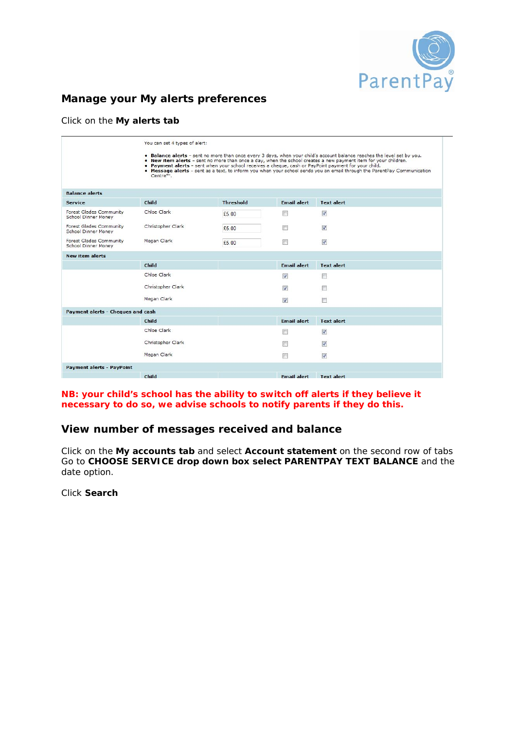

# **Manage your My alerts preferences**

# Click on the **My alerts tab**

|                                                       | You can set 4 types of alert: |                  |                      | . Balance alerts - sent no more than once every 3 days, when your child's account balance reaches the level set by you.<br>. New item alerts - sent no more than once a day, when the school creates a new payment item for your children.<br>. Payment alerts - sent when your school receives a cheque, cash or PayPoint payment for your child. |
|-------------------------------------------------------|-------------------------------|------------------|----------------------|----------------------------------------------------------------------------------------------------------------------------------------------------------------------------------------------------------------------------------------------------------------------------------------------------------------------------------------------------|
|                                                       | Centre™.                      |                  |                      | . Message alerts - sent as a text, to inform you when your school sends you an email through the ParentPay Communication                                                                                                                                                                                                                           |
| <b>Balance alerts</b>                                 |                               |                  |                      |                                                                                                                                                                                                                                                                                                                                                    |
| <b>Service</b>                                        | Child                         | <b>Threshold</b> | <b>Email alert</b>   | <b>Text alert</b>                                                                                                                                                                                                                                                                                                                                  |
| Forest Glades Community<br><b>School Dinner Money</b> | Chloe Clark                   | £5.00            | 同                    | V                                                                                                                                                                                                                                                                                                                                                  |
| Forest Glades Community<br><b>School Dinner Money</b> | Christopher Clark             | £5.00            | П                    | V                                                                                                                                                                                                                                                                                                                                                  |
| <b>Forest Glades Community</b><br>School Dinner Money | Megan Clark                   | £5.00            | F.                   | $\overline{\mathbf{v}}$                                                                                                                                                                                                                                                                                                                            |
| <b>New item alerts</b>                                |                               |                  |                      |                                                                                                                                                                                                                                                                                                                                                    |
|                                                       | Child                         |                  | <b>Email alert</b>   | <b>Text alert</b>                                                                                                                                                                                                                                                                                                                                  |
|                                                       | Chloe Clark                   |                  | $\blacktriangledown$ | n                                                                                                                                                                                                                                                                                                                                                  |
|                                                       | Christopher Clark             |                  | $\triangledown$      | F                                                                                                                                                                                                                                                                                                                                                  |
|                                                       | Megan Clark                   |                  | V                    | n                                                                                                                                                                                                                                                                                                                                                  |
| Payment alerts - Cheques and cash                     |                               |                  |                      |                                                                                                                                                                                                                                                                                                                                                    |
|                                                       | Child                         |                  | <b>Email alert</b>   | <b>Text alert</b>                                                                                                                                                                                                                                                                                                                                  |
|                                                       | Chloe Clark                   |                  | 同                    | V                                                                                                                                                                                                                                                                                                                                                  |
|                                                       | Christopher Clark             |                  | $\Box$               | $\overline{\mathbf{v}}$                                                                                                                                                                                                                                                                                                                            |
|                                                       | Megan Clark                   |                  | Г                    | V                                                                                                                                                                                                                                                                                                                                                  |
| <b>Payment alerts - PayPoint</b>                      |                               |                  |                      |                                                                                                                                                                                                                                                                                                                                                    |
|                                                       | Child                         |                  | <b>Email alert</b>   | <b>Text alert</b>                                                                                                                                                                                                                                                                                                                                  |

# **NB: your child's school has the ability to switch off alerts if they believe it necessary to do so, we advise schools to notify parents if they do this.**

# **View number of messages received and balance**

Click on the **My accounts tab** and select **Account statement** on the second row of tabs Go to **CHOOSE SERVICE drop down box select PARENTPAY TEXT BALANCE** and the date option.

Click **Search**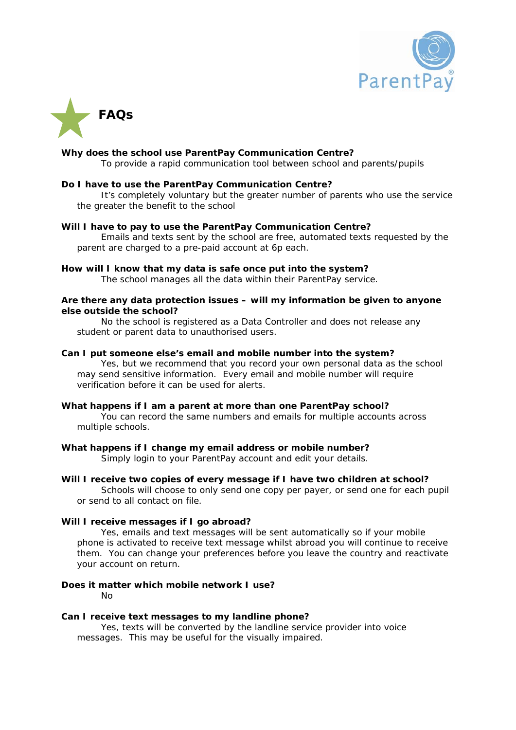



#### **Why does the school use ParentPay Communication Centre?**

To provide a rapid communication tool between school and parents/pupils

#### **Do I have to use the ParentPay Communication Centre?**

 It's completely voluntary but the greater number of parents who use the service the greater the benefit to the school

#### **Will I have to pay to use the ParentPay Communication Centre?**

 Emails and texts sent by the school are free, automated texts requested by the parent are charged to a pre-paid account at 6p each.

#### **How will I know that my data is safe once put into the system?**

The school manages all the data within their ParentPay service.

#### **Are there any data protection issues – will my information be given to anyone else outside the school?**

 No the school is registered as a Data Controller and does not release any student or parent data to unauthorised users.

#### **Can I put someone else's email and mobile number into the system?**

 Yes, but we recommend that you record your own personal data as the school may send sensitive information. Every email and mobile number will require verification before it can be used for alerts.

#### **What happens if I am a parent at more than one ParentPay school?**

 You can record the same numbers and emails for multiple accounts across multiple schools.

# **What happens if I change my email address or mobile number?**

Simply login to your ParentPay account and edit your details.

# **Will I receive two copies of every message if I have two children at school?**

 Schools will choose to only send one copy per payer, or send one for each pupil or send to all contact on file.

# **Will I receive messages if I go abroad?**

 Yes, emails and text messages will be sent automatically so if your mobile phone is activated to receive text message whilst abroad you will continue to receive them. You can change your preferences before you leave the country and reactivate your account on return.

# **Does it matter which mobile network I use?**  No

# **Can I receive text messages to my landline phone?**

 Yes, texts will be converted by the landline service provider into voice messages. This may be useful for the visually impaired.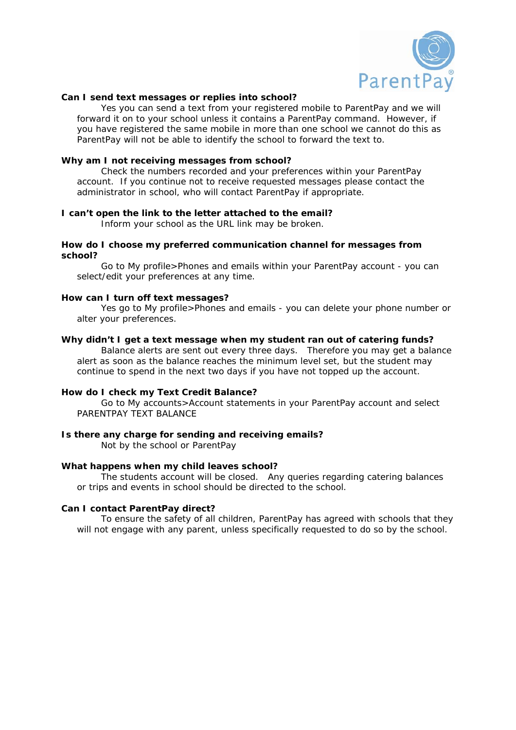

#### **Can I send text messages or replies into school?**

 Yes you can send a text from your registered mobile to ParentPay and we will forward it on to your school unless it contains a ParentPay command. However, if you have registered the same mobile in more than one school we cannot do this as ParentPay will not be able to identify the school to forward the text to.

#### **Why am I not receiving messages from school?**

 Check the numbers recorded and your preferences within your ParentPay account. If you continue not to receive requested messages please contact the administrator in school, who will contact ParentPay if appropriate.

#### **I can't open the link to the letter attached to the email?**

Inform your school as the URL link may be broken.

#### **How do I choose my preferred communication channel for messages from school?**

 Go to My profile>Phones and emails within your ParentPay account - you can select/edit your preferences at any time.

#### **How can I turn off text messages?**

 Yes go to My profile>Phones and emails - you can delete your phone number or alter your preferences.

#### **Why didn't I get a text message when my student ran out of catering funds?**

 Balance alerts are sent out every three days. Therefore you may get a balance alert as soon as the balance reaches the minimum level set, but the student may continue to spend in the next two days if you have not topped up the account.

# **How do I check my Text Credit Balance?**

 Go to My accounts>Account statements in your ParentPay account and select PARENTPAY TEXT BALANCE

# **Is there any charge for sending and receiving emails?**

Not by the school or ParentPay

#### **What happens when my child leaves school?**

 The students account will be closed. Any queries regarding catering balances or trips and events in school should be directed to the school.

# **Can I contact ParentPay direct?**

 To ensure the safety of all children, ParentPay has agreed with schools that they will not engage with any parent, unless specifically requested to do so by the school.